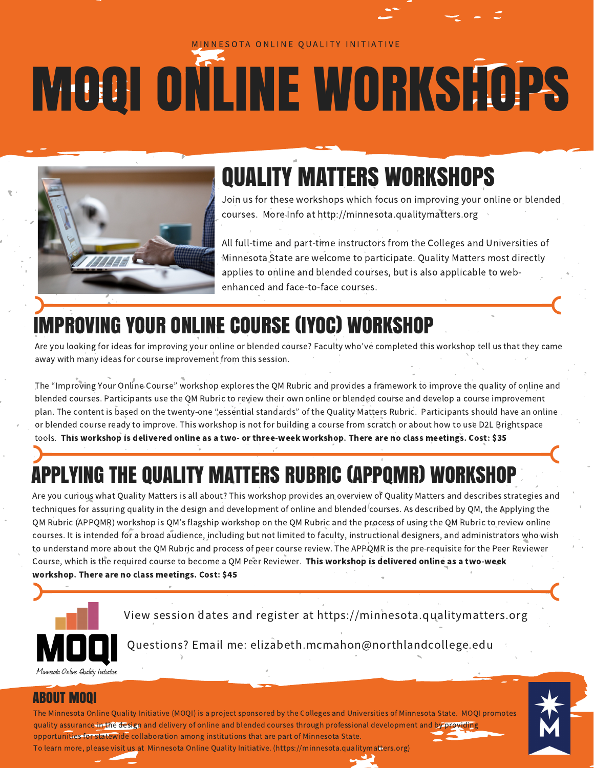#### NNESOTA ONLINE QUALITY INITIATIVE

# MOQI ONLINE WORKSHOPS



# QUALITY MATTERS WORKSHOPS

Join us for these workshops which focus on improving your online or blended courses. More Info at http://minnesota.qualitymatters.org

All full-time and part-time instructors from the Colleges and Universities of Minnesota State are welcome to participate. Quality Matters most directly applies to online and blended courses, but is also applicable to webenhanced and face-to-face courses.

## IMPROVING YOUR ONLINE COURSE (IYOC) WORKSHOP

Are you looking for ideas for improving your online or blended course? Faculty who've completed this workshop tell us that they came away with many ideas for course improvement from this session.

The "Improving Your Online Course" workshop explores the QM Rubric and provides a framework to improve the quality of online and blended courses. Participants use the QM Rubric to review their own online or blended course and develop a course improvement plan. The content is based on the twenty-one "essential standards" of the Quality Matters Rubric. Participants should have an online or blended course ready to improve. This workshop is not for building a course from scratch or about how to use D2L Brightspace tools. This workshop is delivered online as a two- or three-week workshop. There are no class meetings. Cost: \$35

# APPLYING THE QUALITY MATTERS RUBRIC (APPQMR) WORKSHOP

Are you curious what Quality Matters is all about? This workshop provides an overview of Quality Matters and describes strategies and techniques for assuring quality in the design and development of online and blended courses. As described by QM, the Applying the QM Rubric (APPQMR) workshop is QM's flagship workshop on the QM Rubric and the process of using the QM Rubric to review online courses. It is intended for a broad audience, including but not limited to faculty, instructional designers, and administrators who wish to understand more about the QM Rubric and process of peer course review. The APPQMR is the pre-requisite for the Peer Reviewer Course, which is the required course to become a QM Peer Reviewer. This workshop is delivered online as a two-week workshop. There are no class meetings. Cost: \$45



View session dates and register at [https://minnesota.qualitymatters.org](https://minnesota.qualitymatters.org/)

Questions? Email me: [elizabeth.mcmahon@northlandcollege.edu](http://mnquality.eventbrite.com/)

#### ABOUT MOQI

The Minnesota Online Quality Initiative (MOQI) is a project sponsored by the Colleges and Universities of Minnesota State. MOQI promotes quality assurance in the design and delivery of online and blended courses through professional development and by providing opportunities for statewide collaboration among institutions that are part of Minnesota State. To learn more, please visit us at Minnesota Online Quality Initiative. [\(https://minnesota.qualitymatters.org\)](https://minnesota.qualitymatters.org/)